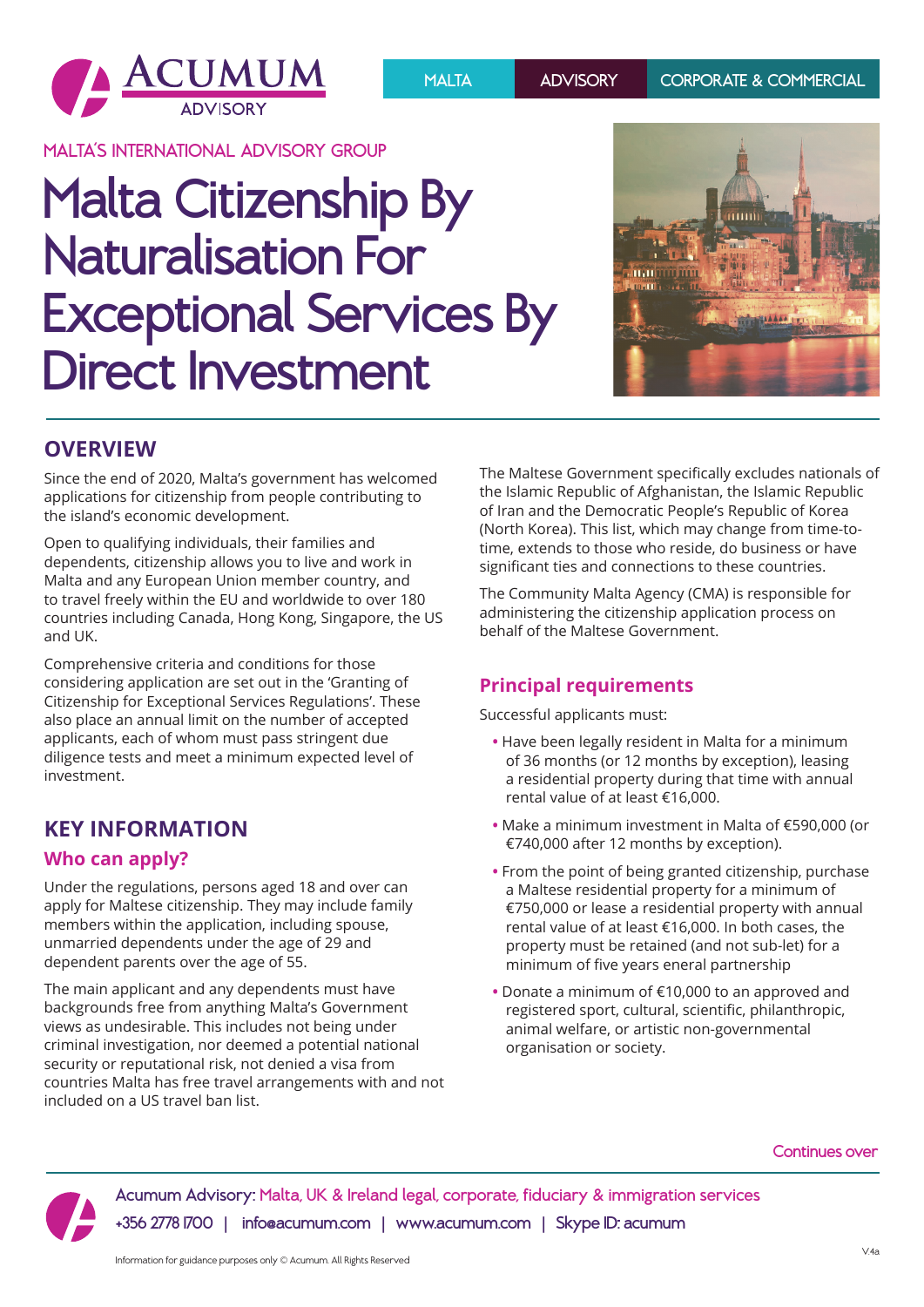

**MALTA'S INTERNATIONAL ADVISORY GROUP**

# **Malta Citizenship By Naturalisation For Exceptional Services By Direct Investment**



## **OVERVIEW**

Since the end of 2020, Malta's government has welcomed applications for citizenship from people contributing to the island's economic development.

Open to qualifying individuals, their families and dependents, citizenship allows you to live and work in Malta and any European Union member country, and to travel freely within the EU and worldwide to over 180 countries including Canada, Hong Kong, Singapore, the US and UK.

Comprehensive criteria and conditions for those considering application are set out in the 'Granting of Citizenship for Exceptional Services Regulations'. These also place an annual limit on the number of accepted applicants, each of whom must pass stringent due diligence tests and meet a minimum expected level of investment.

## **KEY INFORMATION**

#### **Who can apply?**

Under the regulations, persons aged 18 and over can apply for Maltese citizenship. They may include family members within the application, including spouse, unmarried dependents under the age of 29 and dependent parents over the age of 55.

The main applicant and any dependents must have backgrounds free from anything Malta's Government views as undesirable. This includes not being under criminal investigation, nor deemed a potential national security or reputational risk, not denied a visa from countries Malta has free travel arrangements with and not included on a US travel ban list.

The Maltese Government specifically excludes nationals of the Islamic Republic of Afghanistan, the Islamic Republic of Iran and the Democratic People's Republic of Korea (North Korea). This list, which may change from time-totime, extends to those who reside, do business or have significant ties and connections to these countries.

The Community Malta Agency (CMA) is responsible for administering the citizenship application process on behalf of the Maltese Government.

### **Principal requirements**

Successful applicants must:

- **•** Have been legally resident in Malta for a minimum of 36 months (or 12 months by exception), leasing a residential property during that time with annual rental value of at least €16,000.
- **•** Make a minimum investment in Malta of €590,000 (or €740,000 after 12 months by exception).
- **•** From the point of being granted citizenship, purchase a Maltese residential property for a minimum of €750,000 or lease a residential property with annual rental value of at least €16,000. In both cases, the property must be retained (and not sub-let) for a minimum of five years eneral partnership
- **•** Donate a minimum of €10,000 to an approved and registered sport, cultural, scientific, philanthropic, animal welfare, or artistic non-governmental organisation or society.

**Continues over**



**Acumum Advisory: Malta, UK & Ireland legal, corporate, fiduciary & immigration services +356 2778 1700 | info@acumum.com | www.acumum.com | Skype ID: acumum**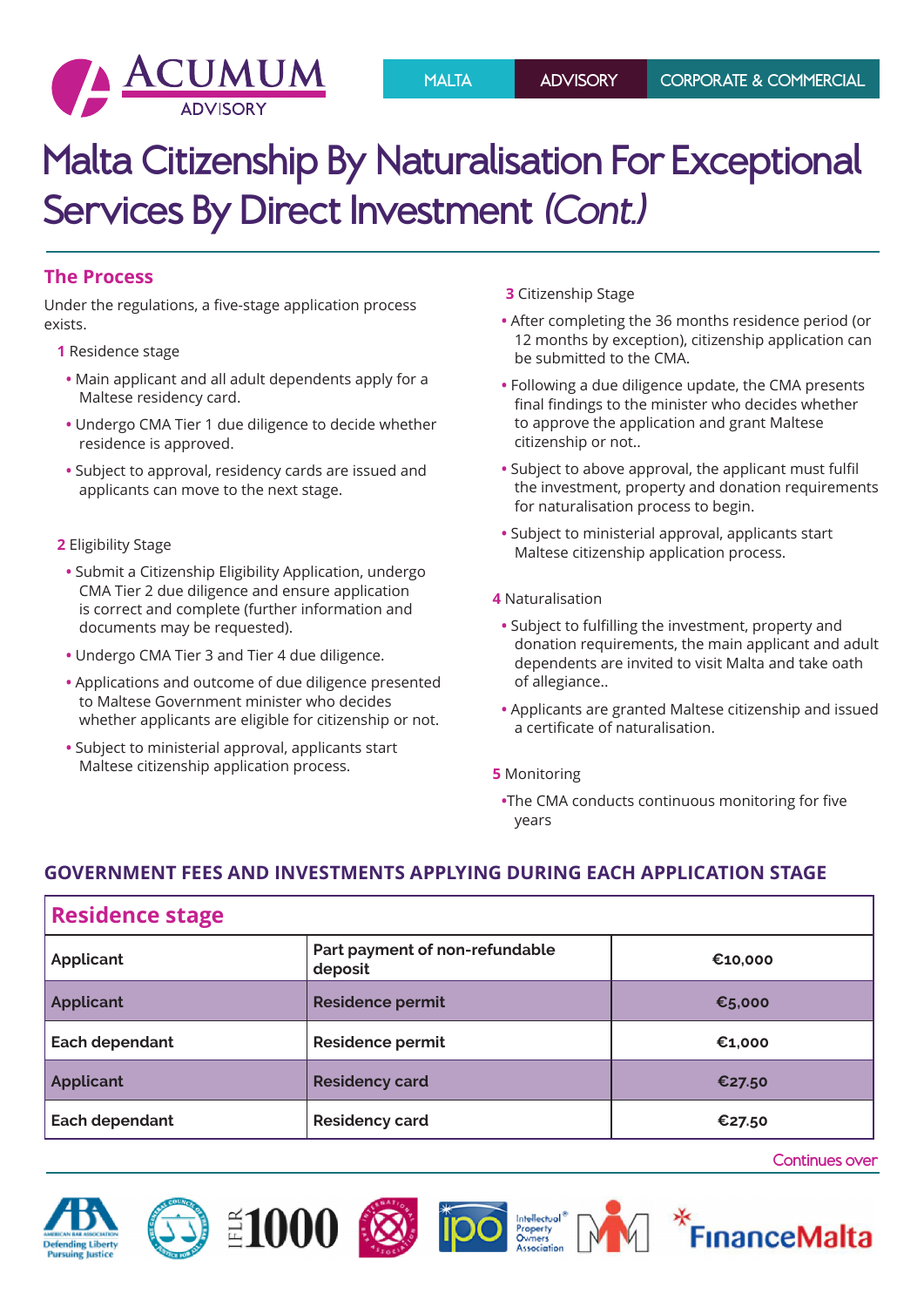

## **Malta Citizenship By Naturalisation For Exceptional Services By Direct Investment (Cont.)**

## **The Process**

Under the regulations, a five-stage application process exists.

**1** Residence stage

- **•** Main applicant and all adult dependents apply for a Maltese residency card.
- **•** Undergo CMA Tier 1 due diligence to decide whether residence is approved.
- **•** Subject to approval, residency cards are issued and applicants can move to the next stage.

#### **2** Eligibility Stage

- **•** Submit a Citizenship Eligibility Application, undergo CMA Tier 2 due diligence and ensure application is correct and complete (further information and documents may be requested).
- **•** Undergo CMA Tier 3 and Tier 4 due diligence.
- **•** Applications and outcome of due diligence presented to Maltese Government minister who decides whether applicants are eligible for citizenship or not.
- **•** Subject to ministerial approval, applicants start Maltese citizenship application process.
- **3** Citizenship Stage
- **•** After completing the 36 months residence period (or 12 months by exception), citizenship application can be submitted to the CMA.
- **•** Following a due diligence update, the CMA presents final findings to the minister who decides whether to approve the application and grant Maltese citizenship or not..
- **•** Subject to above approval, the applicant must fulfil the investment, property and donation requirements for naturalisation process to begin.
- **•** Subject to ministerial approval, applicants start Maltese citizenship application process.
- **4** Naturalisation
	- **•** Subject to fulfilling the investment, property and donation requirements, the main applicant and adult dependents are invited to visit Malta and take oath of allegiance..
	- **•** Applicants are granted Maltese citizenship and issued a certificate of naturalisation.
- **5** Monitoring
	- **•**The CMA conducts continuous monitoring for five years

### **GOVERNMENT FEES AND INVESTMENTS APPLYING DURING EACH APPLICATION STAGE**

| <b>Residence stage</b> |                                           |         |  |
|------------------------|-------------------------------------------|---------|--|
| Applicant              | Part payment of non-refundable<br>deposit | €10,000 |  |
| <b>Applicant</b>       | <b>Residence permit</b>                   | €5,000  |  |
| Each dependant         | <b>Residence permit</b>                   | €1,000  |  |
| <b>Applicant</b>       | <b>Residency card</b>                     | €27.50  |  |
| Each dependant         | <b>Residency card</b>                     | €27.50  |  |

**Continues over**